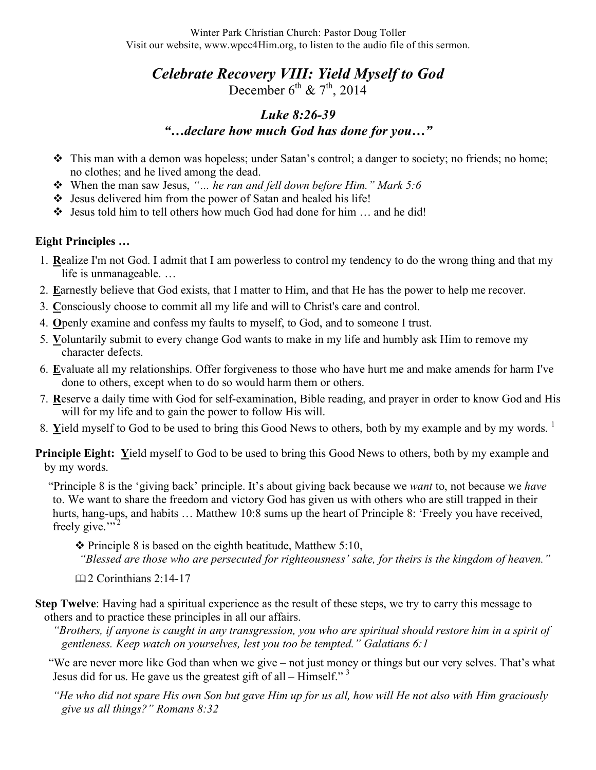Winter Park Christian Church: Pastor Doug Toller Visit our website, www.wpcc4Him.org, to listen to the audio file of this sermon.

# *Celebrate Recovery VIII: Yield Myself to God* December  $6^{th}$  &  $7^{th}$ , 2014

## *Luke 8:26-39 "…declare how much God has done for you…"*

- This man with a demon was hopeless; under Satan's control; a danger to society; no friends; no home; no clothes; and he lived among the dead.
- When the man saw Jesus, *"… he ran and fell down before Him." Mark 5:6*
- Jesus delivered him from the power of Satan and healed his life!
- Jesus told him to tell others how much God had done for him … and he did!

## **Eight Principles …**

- 1. **R**ealize I'm not God. I admit that I am powerless to control my tendency to do the wrong thing and that my life is unmanageable. …
- 2. **E**arnestly believe that God exists, that I matter to Him, and that He has the power to help me recover.
- 3. **C**onsciously choose to commit all my life and will to Christ's care and control.
- 4. **O**penly examine and confess my faults to myself, to God, and to someone I trust.
- 5. **V**oluntarily submit to every change God wants to make in my life and humbly ask Him to remove my character defects.
- 6. **E**valuate all my relationships. Offer forgiveness to those who have hurt me and make amends for harm I've done to others, except when to do so would harm them or others.
- 7. **R**eserve a daily time with God for self-examination, Bible reading, and prayer in order to know God and His will for my life and to gain the power to follow His will.
- 8. Yield myself to God to be used to bring this Good News to others, both by my example and by my words.<sup>1</sup>

**Principle Eight:** Yield myself to God to be used to bring this Good News to others, both by my example and by my words.

"Principle 8 is the 'giving back' principle. It's about giving back because we *want* to, not because we *have* to. We want to share the freedom and victory God has given us with others who are still trapped in their hurts, hang-ups, and habits ... Matthew 10:8 sums up the heart of Principle 8: 'Freely you have received, freely give." $\frac{1}{2}$ 

 $\div$  Principle 8 is based on the eighth beatitude, Matthew 5:10,

*"Blessed are those who are persecuted for righteousness' sake, for theirs is the kingdom of heaven."*

**22 Corinthians 2:14-17** 

### **Step Twelve**: Having had a spiritual experience as the result of these steps, we try to carry this message to others and to practice these principles in all our affairs.

*"Brothers, if anyone is caught in any transgression, you who are spiritual should restore him in a spirit of gentleness. Keep watch on yourselves, lest you too be tempted." Galatians 6:1*

"We are never more like God than when we give – not just money or things but our very selves. That's what Jesus did for us. He gave us the greatest gift of all – Himself." $3$ 

*"He who did not spare His own Son but gave Him up for us all, how will He not also with Him graciously give us all things?" Romans 8:32*